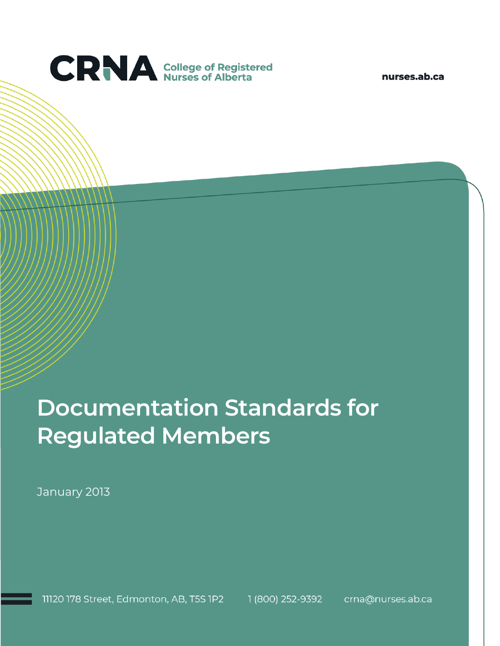

nurses.ab.ca

# **Documentation Standards for Regulated Members**

January 2013

11120 178 Street, Edmonton, AB, T5S 1P2 1 (800) 252-9392 crna@nurses.ab.ca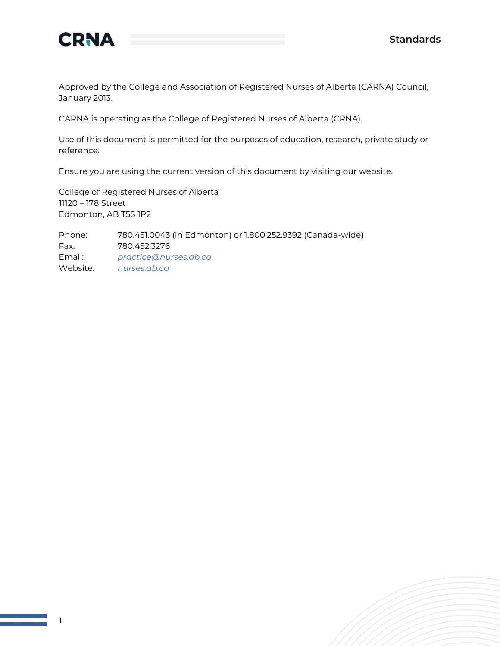

Approved by the College and Association of Registered Nurses of Alberta (CARNA) Council, January 2013.

CARNA is operating as the College of Registered Nurses of Alberta (CRNA).

Use of this document is permitted for the purposes of education, research, private study or reference.

Ensure you are using the current version of this document by visiting our website.

College of Registered Nurses of Alberta 11120 – 178 Street Edmonton, AB T5S 1P2

Phone: 780.451.0043 (in Edmonton) or 1.800.252.9392 (Canada-wide) Fax: 780.452.3276 Email: *[practice@nurses.ab.ca](mailto:practice@nurses.ab.ca)* Website: *[nurses.ab.ca](http://www.nurses.ab.ca/)*

**1**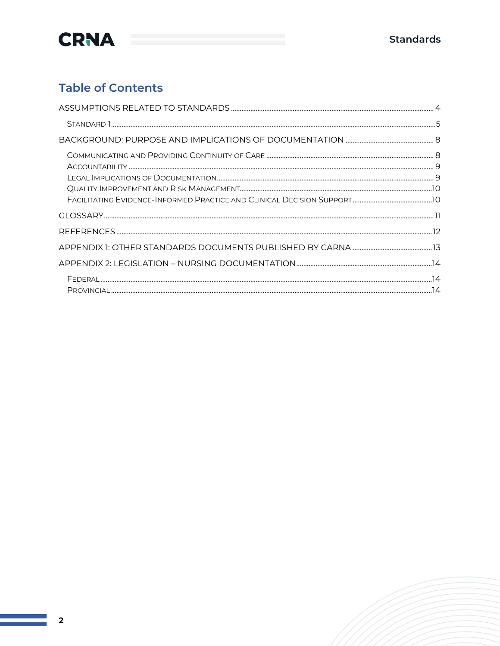

#### **Table of Contents**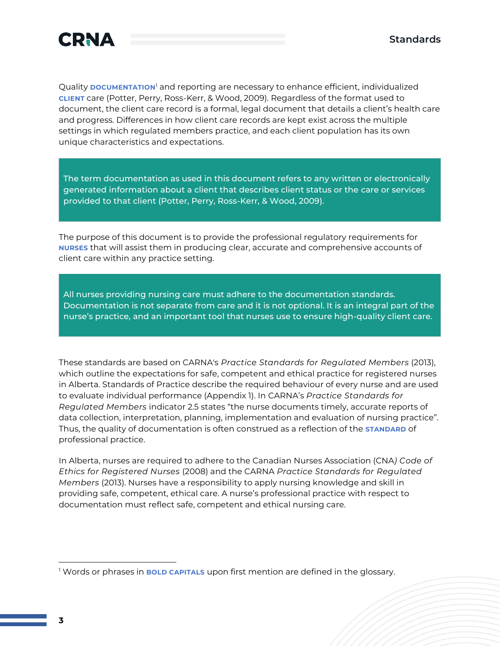

Quality **DOCUMENTATION**<sup>1</sup> and reporting are necessary to enhance efficient, individualized **CLIENT** care (Potter, Perry, Ross-Kerr, & Wood, 2009). Regardless of the format used to document, the client care record is a formal, legal document that details a client's health care and progress. Differences in how client care records are kept exist across the multiple settings in which regulated members practice, and each client population has its own unique characteristics and expectations.

The term documentation as used in this document refers to any written or electronically generated information about a client that describes client status or the care or services provided to that client (Potter, Perry, Ross-Kerr, & Wood, 2009).

The purpose of this document is to provide the professional regulatory requirements for **NURSES** that will assist them in producing clear, accurate and comprehensive accounts of client care within any practice setting.

All nurses providing nursing care must adhere to the documentation standards. Documentation is not separate from care and it is not optional. It is an integral part of the nurse's practice, and an important tool that nurses use to ensure high-quality client care.

These standards are based on CARNA's *Practice Standards for Regulated Members* (2013), which outline the expectations for safe, competent and ethical practice for registered nurses in Alberta. Standards of Practice describe the required behaviour of every nurse and are used to evaluate individual performance (Appendix 1). In CARNA's *Practice Standards for Regulated Members* indicator 2.5 states "the nurse documents timely, accurate reports of data collection, interpretation, planning, implementation and evaluation of nursing practice". Thus, the quality of documentation is often construed as a reflection of the **STANDARD** of professional practice.

In Alberta, nurses are required to adhere to the Canadian Nurses Association (CNA*) Code of Ethics for Registered Nurses* (2008) and the CARNA *Practice Standards for Regulated Members* (2013). Nurses have a responsibility to apply nursing knowledge and skill in providing safe, competent, ethical care. A nurse's professional practice with respect to documentation must reflect safe, competent and ethical nursing care.

<sup>1</sup> Words or phrases in **BOLD CAPITALS** upon first mention are defined in the glossary.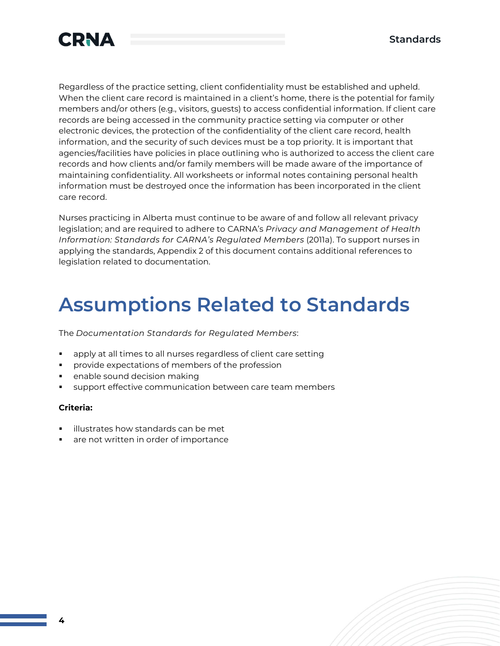

Regardless of the practice setting, client confidentiality must be established and upheld. When the client care record is maintained in a client's home, there is the potential for family members and/or others (e.g., visitors, guests) to access confidential information. If client care records are being accessed in the community practice setting via computer or other electronic devices, the protection of the confidentiality of the client care record, health information, and the security of such devices must be a top priority. It is important that agencies/facilities have policies in place outlining who is authorized to access the client care records and how clients and/or family members will be made aware of the importance of maintaining confidentiality. All worksheets or informal notes containing personal health information must be destroyed once the information has been incorporated in the client care record.

Nurses practicing in Alberta must continue to be aware of and follow all relevant privacy legislation; and are required to adhere to CARNA's *Privacy and Management of Health Information: Standards for CARNA's Regulated Members* (2011a). To support nurses in applying the standards, Appendix 2 of this document contains additional references to legislation related to documentation.

### **Assumptions Related to Standards**

The *Documentation Standards for Regulated Members*:

- apply at all times to all nurses regardless of client care setting
- provide expectations of members of the profession
- enable sound decision making
- support effective communication between care team members

#### **Criteria:**

- illustrates how standards can be met
- are not written in order of importance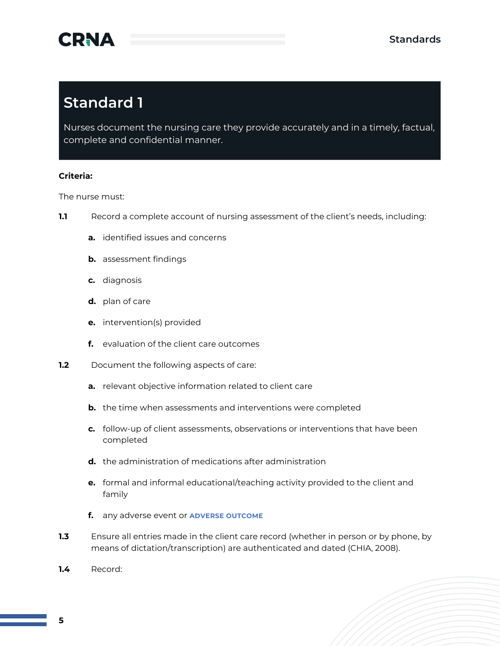

### **Standard 1**

Nurses document the nursing care they provide accurately and in a timely, factual, complete and confidential manner.

#### **Criteria:**

The nurse must:

- **1.1** Record a complete account of nursing assessment of the client's needs, including:
	- **a.** identified issues and concerns
	- **b.** assessment findings
	- **c.** diagnosis
	- **d.** plan of care
	- **e.** intervention(s) provided
	- **f.** evaluation of the client care outcomes
- **1.2** Document the following aspects of care:
	- **a.** relevant objective information related to client care
	- **b.** the time when assessments and interventions were completed
	- **c.** follow-up of client assessments, observations or interventions that have been completed
	- **d.** the administration of medications after administration
	- **e.** formal and informal educational/teaching activity provided to the client and family
	- **f.** any adverse event or **ADVERSE OUTCOME**
- **1.3** Ensure all entries made in the client care record (whether in person or by phone, by means of dictation/transcription) are authenticated and dated (CHIA, 2008).
- **1.4** Record: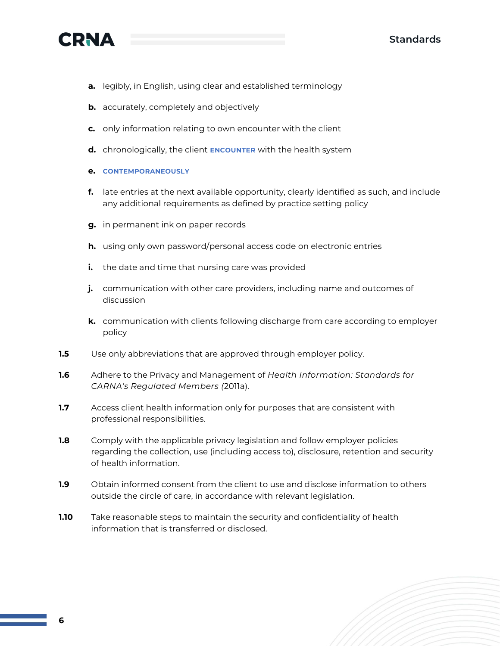



- **a.** legibly, in English, using clear and established terminology
- **b.** accurately, completely and objectively
- **c.** only information relating to own encounter with the client
- **d.** chronologically, the client **ENCOUNTER** with the health system
- **e. CONTEMPORANEOUSLY**
- **f.** late entries at the next available opportunity, clearly identified as such, and include any additional requirements as defined by practice setting policy
- **g.** in permanent ink on paper records
- **h.** using only own password/personal access code on electronic entries
- **i.** the date and time that nursing care was provided
- **j.** communication with other care providers, including name and outcomes of discussion
- **k.** communication with clients following discharge from care according to employer policy
- **1.5** Use only abbreviations that are approved through employer policy.
- **1.6** Adhere to the Privacy and Management of *Health Information: Standards for CARNA's Regulated Members (*2011a).
- **1.7** Access client health information only for purposes that are consistent with professional responsibilities.
- **1.8** Comply with the applicable privacy legislation and follow employer policies regarding the collection, use (including access to), disclosure, retention and security of health information.
- **1.9** Obtain informed consent from the client to use and disclose information to others outside the circle of care, in accordance with relevant legislation.
- **1.10** Take reasonable steps to maintain the security and confidentiality of health information that is transferred or disclosed.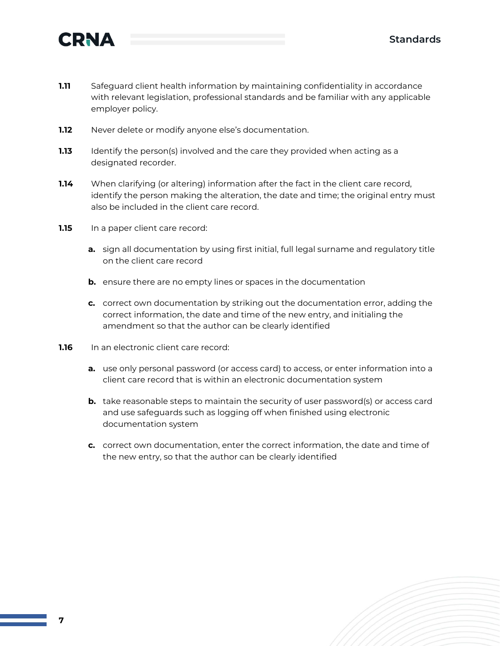

- **1.11** Safeguard client health information by maintaining confidentiality in accordance with relevant legislation, professional standards and be familiar with any applicable employer policy.
- **1.12** Never delete or modify anyone else's documentation.
- **1.13** Identify the person(s) involved and the care they provided when acting as a designated recorder.
- **1.14** When clarifying (or altering) information after the fact in the client care record, identify the person making the alteration, the date and time; the original entry must also be included in the client care record.
- **1.15** In a paper client care record:
	- **a.** sign all documentation by using first initial, full legal surname and regulatory title on the client care record
	- **b.** ensure there are no empty lines or spaces in the documentation
	- **c.** correct own documentation by striking out the documentation error, adding the correct information, the date and time of the new entry, and initialing the amendment so that the author can be clearly identified
- **1.16** In an electronic client care record:
	- **a.** use only personal password (or access card) to access, or enter information into a client care record that is within an electronic documentation system
	- **b.** take reasonable steps to maintain the security of user password(s) or access card and use safeguards such as logging off when finished using electronic documentation system
	- **c.** correct own documentation, enter the correct information, the date and time of the new entry, so that the author can be clearly identified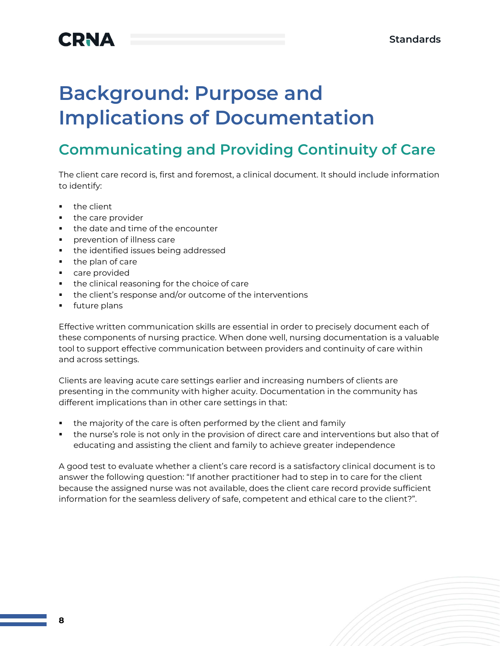## **CRNA**

# **Background: Purpose and Implications of Documentation**

### **Communicating and Providing Continuity of Care**

The client care record is, first and foremost, a clinical document. It should include information to identify:

- the client
- the care provider
- the date and time of the encounter
- **•** prevention of illness care
- **•** the identified issues being addressed
- the plan of care
- care provided
- the clinical reasoning for the choice of care
- the client's response and/or outcome of the interventions
- future plans

Effective written communication skills are essential in order to precisely document each of these components of nursing practice. When done well, nursing documentation is a valuable tool to support effective communication between providers and continuity of care within and across settings.

Clients are leaving acute care settings earlier and increasing numbers of clients are presenting in the community with higher acuity. Documentation in the community has different implications than in other care settings in that:

- the majority of the care is often performed by the client and family
- the nurse's role is not only in the provision of direct care and interventions but also that of educating and assisting the client and family to achieve greater independence

A good test to evaluate whether a client's care record is a satisfactory clinical document is to answer the following question: "If another practitioner had to step in to care for the client because the assigned nurse was not available, does the client care record provide sufficient information for the seamless delivery of safe, competent and ethical care to the client?".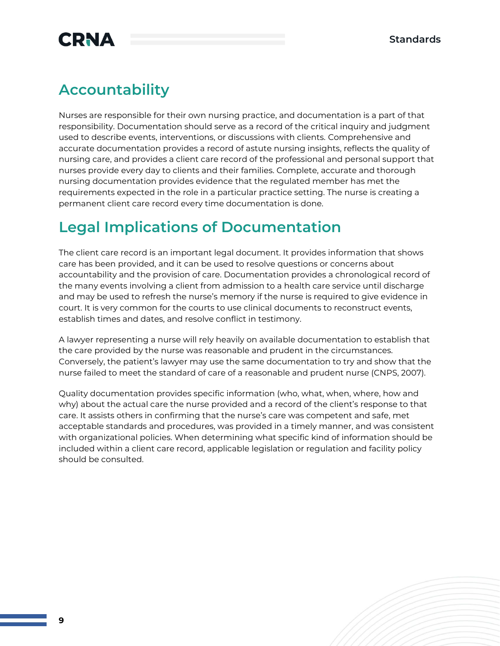## **CRNA**

### **Accountability**

Nurses are responsible for their own nursing practice, and documentation is a part of that responsibility. Documentation should serve as a record of the critical inquiry and judgment used to describe events, interventions, or discussions with clients. Comprehensive and accurate documentation provides a record of astute nursing insights, reflects the quality of nursing care, and provides a client care record of the professional and personal support that nurses provide every day to clients and their families. Complete, accurate and thorough nursing documentation provides evidence that the regulated member has met the requirements expected in the role in a particular practice setting. The nurse is creating a permanent client care record every time documentation is done.

### **Legal Implications of Documentation**

The client care record is an important legal document. It provides information that shows care has been provided, and it can be used to resolve questions or concerns about accountability and the provision of care. Documentation provides a chronological record of the many events involving a client from admission to a health care service until discharge and may be used to refresh the nurse's memory if the nurse is required to give evidence in court. It is very common for the courts to use clinical documents to reconstruct events, establish times and dates, and resolve conflict in testimony.

A lawyer representing a nurse will rely heavily on available documentation to establish that the care provided by the nurse was reasonable and prudent in the circumstances. Conversely, the patient's lawyer may use the same documentation to try and show that the nurse failed to meet the standard of care of a reasonable and prudent nurse (CNPS, 2007).

Quality documentation provides specific information (who, what, when, where, how and why) about the actual care the nurse provided and a record of the client's response to that care. It assists others in confirming that the nurse's care was competent and safe, met acceptable standards and procedures, was provided in a timely manner, and was consistent with organizational policies. When determining what specific kind of information should be included within a client care record, applicable legislation or regulation and facility policy should be consulted.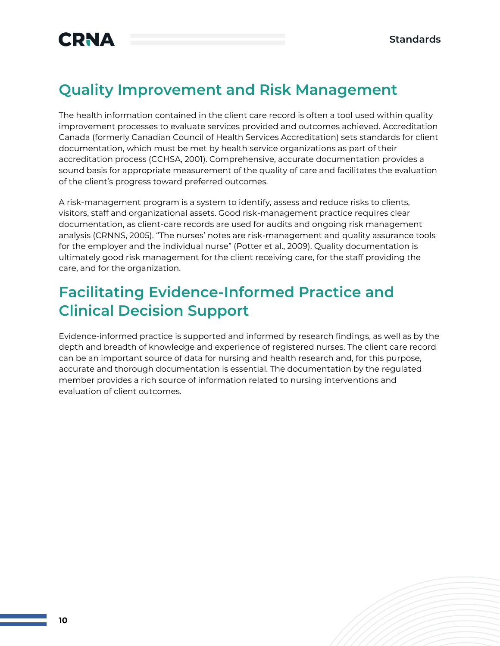

### **Quality Improvement and Risk Management**

The health information contained in the client care record is often a tool used within quality improvement processes to evaluate services provided and outcomes achieved. Accreditation Canada (formerly Canadian Council of Health Services Accreditation) sets standards for client documentation, which must be met by health service organizations as part of their accreditation process (CCHSA, 2001). Comprehensive, accurate documentation provides a sound basis for appropriate measurement of the quality of care and facilitates the evaluation of the client's progress toward preferred outcomes.

A risk-management program is a system to identify, assess and reduce risks to clients, visitors, staff and organizational assets. Good risk-management practice requires clear documentation, as client-care records are used for audits and ongoing risk management analysis (CRNNS, 2005). "The nurses' notes are risk-management and quality assurance tools for the employer and the individual nurse" (Potter et al., 2009). Quality documentation is ultimately good risk management for the client receiving care, for the staff providing the care, and for the organization.

#### **Facilitating Evidence-Informed Practice and Clinical Decision Support**

Evidence-informed practice is supported and informed by research findings, as well as by the depth and breadth of knowledge and experience of registered nurses. The client care record can be an important source of data for nursing and health research and, for this purpose, accurate and thorough documentation is essential. The documentation by the regulated member provides a rich source of information related to nursing interventions and evaluation of client outcomes.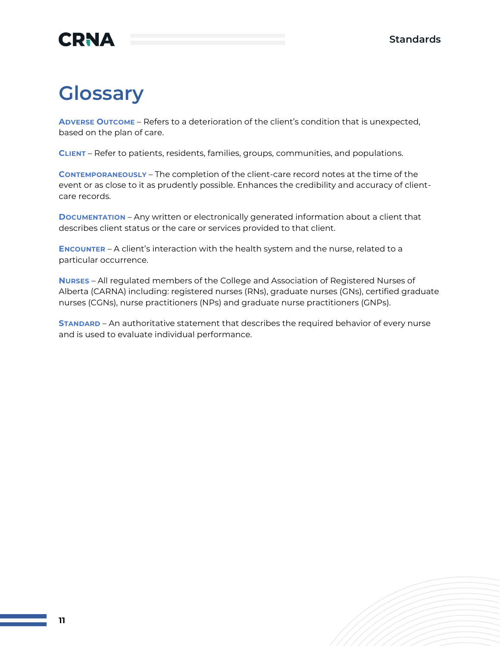### **CRNA**

## **Glossary**

**ADVERSE OUTCOME** – Refers to a deterioration of the client's condition that is unexpected, based on the plan of care.

**CLIENT** – Refer to patients, residents, families, groups, communities, and populations.

**CONTEMPORANEOUSLY** – The completion of the client-care record notes at the time of the event or as close to it as prudently possible. Enhances the credibility and accuracy of clientcare records.

**DOCUMENTATION** – Any written or electronically generated information about a client that describes client status or the care or services provided to that client.

**ENCOUNTER** – A client's interaction with the health system and the nurse, related to a particular occurrence.

**NURSES** – All regulated members of the College and Association of Registered Nurses of Alberta (CARNA) including: registered nurses (RNs), graduate nurses (GNs), certified graduate nurses (CGNs), nurse practitioners (NPs) and graduate nurse practitioners (GNPs).

**STANDARD** – An authoritative statement that describes the required behavior of every nurse and is used to evaluate individual performance.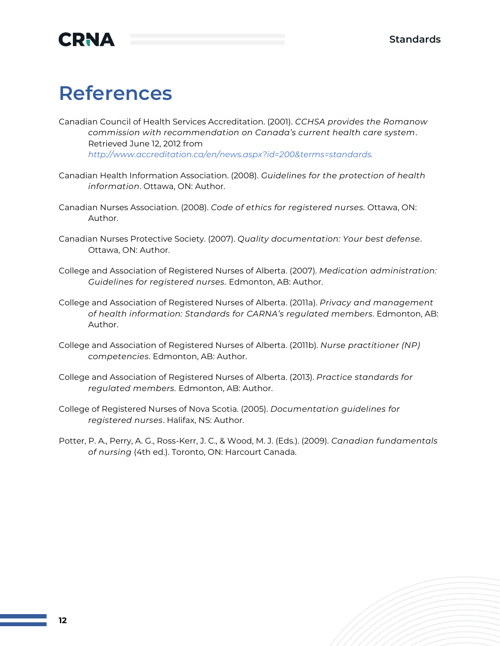

## **References**

Canadian Council of Health Services Accreditation. (2001). *CCHSA provides the Romanow commission with recommendation on Canada's current health care system*. Retrieved June 12, 2012 from *[http://www.accreditation.ca/en/news.aspx?id=200&terms=standards.](http://www.accreditation.ca/en/news.aspx?id=200&terms=standards)*

- Canadian Health Information Association. (2008). *Guidelines for the protection of health information*. Ottawa, ON: Author.
- Canadian Nurses Association. (2008). *Code of ethics for registered nurses.* Ottawa, ON: Author.
- Canadian Nurses Protective Society. (2007). *Quality documentation: Your best defense*. Ottawa, ON: Author.
- College and Association of Registered Nurses of Alberta. (2007). *Medication administration: Guidelines for registered nurses.* Edmonton, AB: Author.
- College and Association of Registered Nurses of Alberta. (2011a). *Privacy and management of health information: Standards for CARNA's regulated members*. Edmonton, AB: Author.
- College and Association of Registered Nurses of Alberta. (2011b). *Nurse practitioner (NP) competencies*. Edmonton, AB: Author.
- College and Association of Registered Nurses of Alberta. (2013). *Practice standards for regulated members.* Edmonton, AB: Author.
- College of Registered Nurses of Nova Scotia. (2005). *Documentation guidelines for registered nurses*. Halifax, NS: Author.
- Potter, P. A., Perry, A. G., Ross-Kerr, J. C., & Wood, M. J. (Eds.). (2009). *Canadian fundamentals of nursing* (4th ed.). Toronto, ON: Harcourt Canada.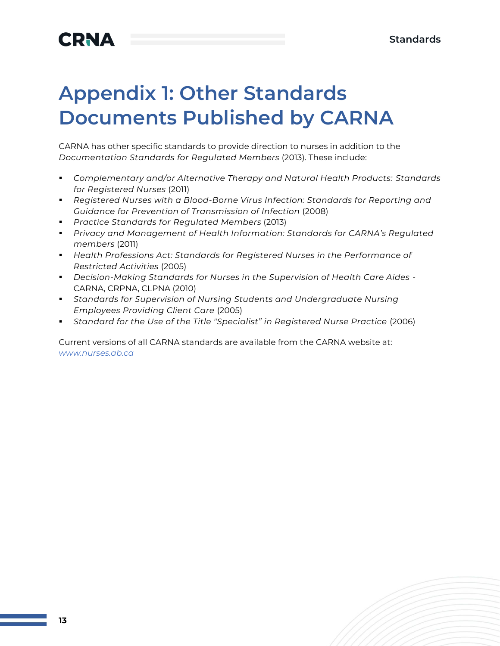# **Appendix 1: Other Standards Documents Published by CARNA**

CARNA has other specific standards to provide direction to nurses in addition to the *Documentation Standards for Regulated Members* (2013). These include:

- *Complementary and/or Alternative Therapy and Natural Health Products: Standards for Registered Nurses* (2011)
- *Registered Nurses with a Blood-Borne Virus Infection: Standards for Reporting and Guidance for Prevention of Transmission of Infection* (2008)
- *Practice Standards for Regulated Members* (2013)
- *Privacy and Management of Health Information: Standards for CARNA's Regulated members* (2011)
- *Health Professions Act: Standards for Registered Nurses in the Performance of Restricted Activities* (2005)
- *Decision-Making Standards for Nurses in the Supervision of Health Care Aides* CARNA, CRPNA, CLPNA (2010)
- **Example 1** Standards for Supervision of Nursing Students and Undergraduate Nursing *Employees Providing Client Care* (2005)
- *Standard for the Use of the Title "Specialist" in Registered Nurse Practice* (2006)

Current versions of all CARNA standards are available from the CARNA website at: *[www.nurses.ab.ca](http://www.nurses.ab.ca/)*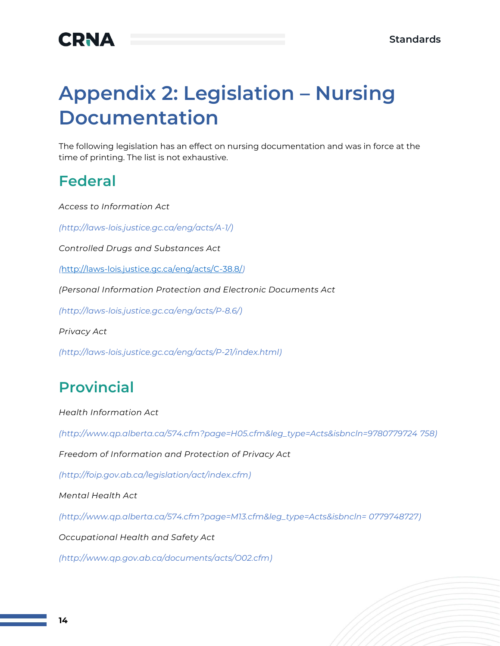

## **Appendix 2: Legislation - Nursing Documentation**

The following legislation has an effect on nursing documentation and was in force at the time of printing. The list is not exhaustive.

#### **Federal**

*Access to Information Act*

*[\(http://laws-lois.justice.gc.ca/eng/acts/A-1/\)](http://laws-lois.justice.gc.ca/eng/acts/A-1/)*

*Controlled Drugs and Substances Act*

*(*<http://laws-lois.justice.gc.ca/eng/acts/C-38.8/>*)*

*(Personal Information Protection and Electronic Documents Act*

*[\(http://laws-lois.justice.gc.ca/eng/acts/P-8.6/\)](http://laws-lois.justice.gc.ca/eng/acts/P-8.6/)*

*Privacy Act* 

*[\(http://laws-lois.justice.gc.ca/eng/acts/P-21/index.html\)](http://laws-lois.justice.gc.ca/eng/acts/P-21/index.html)*

### **Provincial**

*Health Information Act* 

*[\(http://www.qp.alberta.ca/574.cfm?page=H05.cfm&leg\\_type=Acts&isbncln=9780779724](http://www.qp.alberta.ca/574.cfm?page=H05.cfm&leg_type=Acts&isbncln=9780779724) 758)*

*Freedom of Information and Protection of Privacy Act*

*[\(http://foip.gov.ab.ca/legislation/act/index.cfm\)](http://foip.gov.ab.ca/legislation/act/index.cfm)*

*Mental Health Act* 

*[\(http://www.qp.alberta.ca/574.cfm?page=M13.cfm&leg\\_type=Acts&isbncln=](http://www.qp.alberta.ca/574.cfm?page=M13.cfm&leg_type=Acts&isbncln=) 0779748727)*

*Occupational Health and Safety Act*

*[\(http://www.qp.gov.ab.ca/documents/acts/O02.cfm\)](http://www.qp.gov.ab.ca/documents/acts/O02.cfm)*